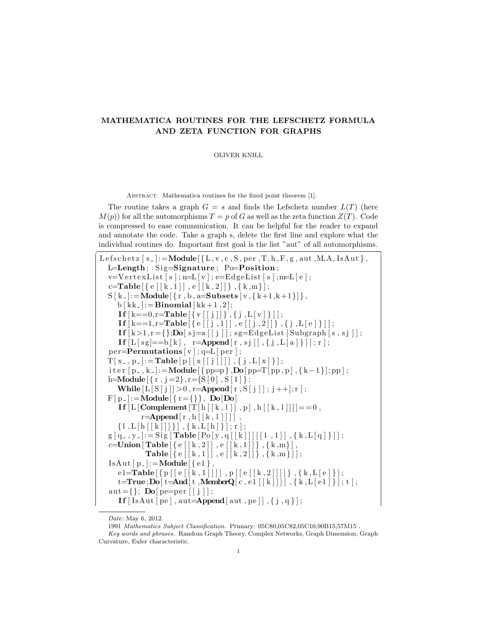## MATHEMATICA ROUTINES FOR THE LEFSCHETZ FORMULA AND ZETA FUNCTION FOR GRAPHS

## OLIVER KNILL

ABSTRACT. Mathematica routines for the fixed point theorem [1].

The routine takes a graph  $G = s$  and finds the Lefschetz number  $L(T)$  (here  $M(p)$  for all the automorphisms  $T = p$  of G as well as the zeta function  $Z(T)$ . Code is compressed to ease communication. It can be helpful for the reader to expand and annotate the code. Take a graph s, delete the first line and explore what the individual routines do. Important first goal is the list "aut" of all automorphisms.

```
Lefschetz [s_-]:=Module\{\text{L}, v, c, S, \text{per}, T, h, F, g, \text{aut}, M, A, IsAut\},\L=Length; Sig=Signature; Po=Position;v=V ert ex List [s]; n=L [v]; e=EdgeList [s]; m=L [e];
   c=Table \{e | [k, 1] |, e | [k, 2] | \}, \{k, m\};
   S[k_]: = \text{Module}[\{r, b, a = \text{Subsets} [v, \{k+1, k+1\}]\},b[kk_+]: = Binomial [kk + 1, 2];
      \mathbf{If} [k==0, r=Table [{ v [ [ j ]] }, { j , L [ v ] } ] ;
      If [k==1, r = \text{Table}[\{e[[j, 1]], e[[j, 2]]\}, \{j, L[e]\}]];
      If [k>1, r = \{\};\mathbf{Do}[sj=a[[j]]; sg = Edgelist[Subgraph[s,sj]];If [L[sg]=b[k], r=Append[r, sj]], \{j, L[a]\}]]; r ];
   per =Permutations [v]; q=L [ per ];
  T[x_-, p_-] := \textbf{Table} [ p [ [ x [ [ j ] ] ] ] , { j , L [ x ] } ] ;it er [p_-, k_-]:=Module[\{ pp=p \},\textbf{Do} [ pp = T [ pp, p], \{k-1\}]; pp ];
   h=Module\{ \{ r, j=2 \}, r=\{ S \mid 0 \} , S \mid 1 \};
      While [L[S[j]] > 0, r =Append[r, S[j]]; j++); r ;
  F[p_+] := \text{Module}[\{r = \{\}\}, \ \text{Do}[\text{Do}[\]If [L[Complement[T[h[[k,1]]], p], h[[k,1]]] == 0,
             r = \text{Append}[(r, h[[k, l]]]],
      \{1, L[h[[k]]]\}, \{k, L[h]\}; r |;
   g [ q_-, y_- ] := Sig [ \textbf{Table} [ Po [ y, q [ [ k ] ] ] [[ 1, 1 ] ] , { k, L [ q ] } ] ];
   c=Union [ Table [ { e [ [ k , 2 ] ] , e [ [ k , 1 ]] ] , \{ k ,m\}] ,Table \{ \{ e | [k, 1] \}, e [ [k, 2] \}, \{ k, m \} ] \}IsAut[p_-]:=Module[\{ e1 \},]e1=Table \{p \mid [e \mid [k, 1]]]], p \mid [e \mid [k, 2]]]\}, \{k, L \mid e]\}\;;t=True;Do[ t = And[ t], MemberQ[ c, e1 [ [ k ] ] ] ] , { k, L[ e1 ] } ; t ;aut = { }; Do [ pe=per [ [ j ] ];
      If [ IsAut [ pe ] , aut=Append[ aut , pe ] ] , \{ j , q \} ];
```
Date: May 6, 2012.

<sup>1991</sup> Mathematics Subject Classification. Primary: 05C80,05C82,05C10,90B15,57M15 . Key words and phrases. Random Graph Theory, Complex Networks, Graph Dimension, Graph Curvature, Euler characteristic.